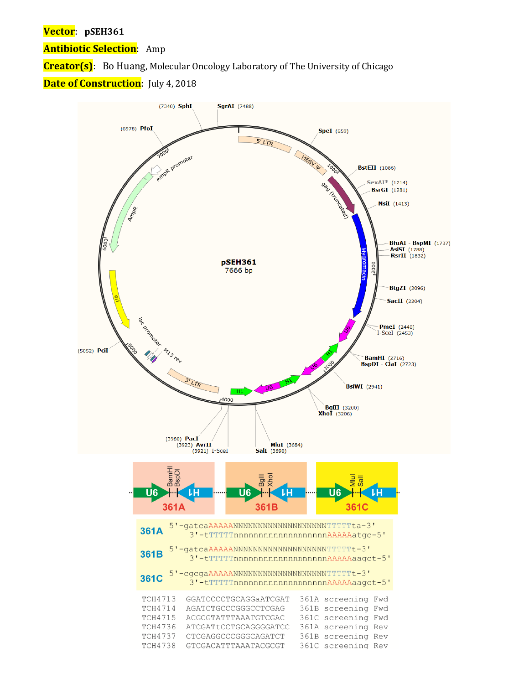# **Vector**: **pSEH361**

**Antibiotic Selection**: Amp

**Creator(s)**: Bo Huang, Molecular Oncology Laboratory of The University of Chicago

# **Date of Construction**: July 4, 2018

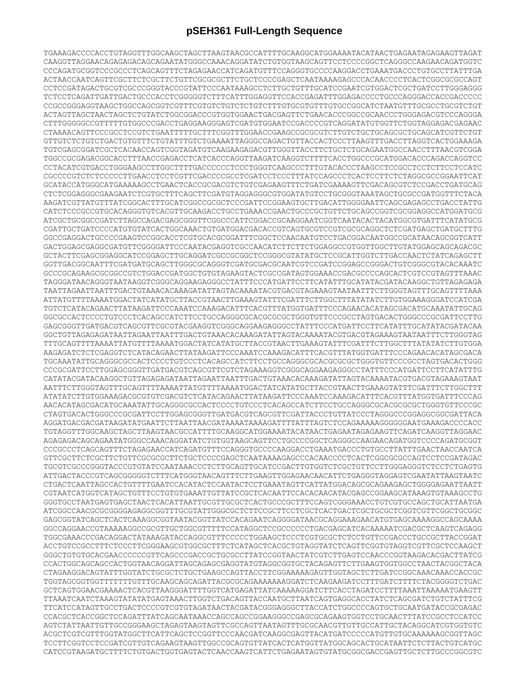# **pSEH361 Full-Length Sequence**

TGAAAGACCCCACCTGTAGGTTTGGCAAGCTAGCTTAAGTAACGCCATTTTGCAAGGCATGGAAAATACATAACTGAGAATAGAGAAGTTAGAT CAAGGTTAGGAACAGAGAGACAGCAGAATATGGGCCAAACAGGATATCTGTGGTAAGCAGTTCCTCCCCGGCTCAGGGCCAAGAACAGATGGTC CCCAGATGCGGTCCCGCCCTCAGCAGTTTCTAGAGAACCATCAGATGTTTCCAGGGTGCCCCAAGGACCTGAAATGACCCTGTGCCTTATTTGA ACTAACCAATCAGTTCGCTTCTCGCTTCTGTTCGCGCGCTTCTGCTCCCCGAGCTCAATAAAAGAGCCCACAACCCCTCACTCGGCGCGCCAGT CCTCCGATAGACTGCGTCGCCCGGGTACCCGTATTCCCAATAAAGCCTCTTGCTGTTTGCATCCGAATCGTGGACTCGCTGATCCTTGGGAGGG TCTCCTCAGATTGATTGACTGCCCACCTCGGGGGTCTTTCATTTGGAGGTTCCACCGAGATTTGGAGACCCCTGCCCAGGGACCACCGACCCCC CCGCCGGGAGGTAAGCTGGCCAGCGGTCGTTTCGTGTCTGTCTCTGTCTTTGTGCGTGTTTGTGCCGGCATCTAATGTTTGCGCCTGCGTCTGT ACTAGTTAGCTAACTAGCTCTGTATCTGGCGGACCCGTGGTGGAACTGACGAGTTCTGAACACCCGGCCGCAACCCTGGGAGACGTCCCAGGGA CTTTGGGGGCCGTTTTTGTGGCCCGACCTGAGGAAGGGAGTCGATGTGGAATCCGACCCCGTCAGGATATGTGGTTCTGGTAGGAGACGAGAAC CTAAAACAGTTCCCGCCTCCGTCTGAATTTTTGCTTTCGGTTTGGAACCGAAGCCGCGCGTCTTGTCTGCTGCAGCGCTGCAGCATCGTTCTGT GTTGTCTCTGTCTGACTGTGTTTCTGTATTTGTCTGAAAATTAGGGCCAGACTGTTACCACTCCCTTAAGTTTGACCTTAGGTCACTGGAAAGA TGTCGAGCGGATCGCTCACAACCAGTCGGTAGATGTCAAGAAGAGACGTTGGGTTACCTTCTGCTCTGCAGAATGGCCAACCTTTAACGTCGGA TGGCCGCGAGACGGCACCTTTAACCGAGACCTCATCACCCAGGTTAAGATCAAGGTCTTTTCACCTGGCCCGCATGGACACCCAGACCAGGTCC CCTACATCGTGACCTGGGAAGCCTTGGCTTTTGACCCCCCTCCCTGGGTCAAGCCCTTTGTACACCCTAAGCCTCCGCCTCCTCTTCCTCCATC CGCCCCGTCTCTCCCCCTTGAACCTCCTCGTTCGACCCCGCCTCGATCCTCCCTTTATCCAGCCCTCACTCCTTCTCTAGGCGCCGGAATTCAT GCATACCATGGGCATGAAAAAGCCTGAACTCACCGCGACGTCTGTCGAGAAGTTTCTGATCGAAAAGTTCGACAGCGTCTCCGACCTGATGCAG CTCTCGGAGGGCGAAGAATCTCGTGCTTTCAGCTTCGATGTAGGAGGGCGTGGATATGTCCTGCGGGTAAATAGCTGCGCCGATGGTTTCTACA AAGATCGTTATGTTTATCGGCACTTTGCATCGGCCGCGCTCCCGATTCCGGAAGTGCTTGACATTGGGGAATTCAGCGAGAGCCTGACCTATTG CATCTCCCGCCGTGCACAGGGTGTCACGTTGCAAGACCTGCCTGAAACCGAACTGCCCGCTGTTCTGCAGCCGGTCGCGGAGGCCATGGATGCG ATCGCTGCGGCCGATCTTAGCCAGACGAGCGGGTTCGGCCCATTCGGACCGCAAGGAATCGGTCAATACACTACATGGCGTGATTTCATATGCG CGATTGCTGATCCCCATGTGTATCACTGGCAAACTGTGATGGACGACACCGTCAGTGCGTCCGTCGCGCAGGCTCTCGATGAGCTGATGCTTTG GGCCGAGGACTGCCCCGAAGTCCGGCACCTCGTGCACGCGGATTTCGGCTCCAACAATGTCCTGACGGACAATGGCCGCATAACAGCGGTCATT GACTGGAGCGAGGCGATGTTCGGGGATTCCCAATACGAGGTCGCCAACATCTTCTTCTGGAGGCCGTGGTTGGCTTGTATGGAGCAGCAGACGC GCTACTTCGAGCGGAGGCATCCGGAGCTTGCAGGATCGCCGCGGCTCCGGGCGTATATGCTCCGCATTGGTCTTGACCAACTCTATCAGAGCTT GGTTGACGGCAATTTCGATGATGCAGCTTGGGCGCAGGGTCGATGCGACGCAATCGTCCGATCCGGAGCCGGGACTGTCGGGCGTACACAAATC GCCCGCAGAAGCGCGGCCGTCTGGACCGATGGCTGTGTAGAAGTACTCGCCGATAGTGGAAACCGACGCCCCAGCACTCGTCCGTAGTTTAAAC TAGGGATAACAGGGTAATAAGGTCGGGCAGGAAGAGGGCCTATTTCCCATGATTCCTTCATATTTGCATATACGATACAAGGCTGTTAGAGAGA TAATTAGAATTAATTTGACTGTAAACACAAAGATATTAGTACAAAATACGTGACGTAGAAAGTAATAATTTCTTGGGTAGTTTGCAGTTTTAAA ATTATGTTTTAAAATGGACTATCATATGCTTACCGTAACTTGAAAGTATTTCGATTTCTTGGCTTTATATATCTTGTGGAAAGGGATCCATCGA TGTCTCATACAGAACTTATAAGATTCCCAAATCCAAAGACATTTCACGTTTATGGTGATTTCCCAGAACACATAGCGACATGCAAATATTGCAG GGCGCCACTCCCCTGTCCCTCACAGCCATCTTCCTGCCAGGGCGCACGCGCGCTGGGTGTTCCCGCCTAGTGACACTGGGCCCGCGATTCCTTG GAGCGGGTTGATGACGTCAGCGTTCGCGTACGAAGGTCGGGCAGGAAGAGGGCCTATTTCCCATGATTCCTTCATATTTGCATATACGATACAA GGCTGTTAGAGAGATAATTAGAATTAATTTGACTGTAAACACAAAGATATTAGTACAAAATACGTGACGTAGAAAGTAATAATTTCTTGGGTAG TTTGCAGTTTTAAAATTATGTTTTAAAATGGACTATCATATGCTTACCGTAACTTGAAAGTATTTCGATTTCTTGGCTTTATATATCTTGTGGA AAGAGATCTCTCGAGGTCTCATACAGAACTTATAAGATTCCCAAATCCAAAGACATTTCACGTTTATGGTGATTTCCCAGAACACATAGCGACA TGCAAATATTGCAGGGCGCCACTCCCCTGTCCCTCACAGCCATCTTCCTGCCAGGGCGCACGCGCGCTGGGTGTTCCCGCCTAGTGACACTGGG CCCGCGATTCCTTGGAGCGGGTTGATGACGTCAGCGTTCGTCTAGAAAGGTCGGGCAGGAAGAGGGCCTATTTCCCATGATTCCTTCATATTTG CATATACGATACAAGGCTGTTAGAGAGATAATTAGAATTAATTTGACTGTAAACACAAAGATATTAGTACAAAATACGTGACGTAGAAAGTAAT AATTTCTTGGGTAGTTTGCAGTTTTAAAATTATGTTTTAAAATGGACTATCATATGCTTACCGTAACTTGAAAGTATTTCGATTTCTTGGCTTT ATATATCTTGTGGAAAGACGCGTGTCGACGTCTCATACAGAACTTATAAGATTCCCAAATCCAAAGACATTTCACGTTTATGGTGATTTCCCAG AACACATAGCGACATGCAAATATTGCAGGGCGCCACTCCCCTGTCCCTCACAGCCATCTTCCTGCCAGGGCGCACGCGCGCTGGGTGTTCCCGC CTAGTGACACTGGGCCCGCGATTCCTTGGAGCGGGTTGATGACGTCAGCGTTCGATTACCCTGTTATCCCTAGGGCCCGGAGGCGGCGATTACA AGGATGACGACGATAAGATATGAATTCTTAATTAACGATAAAATAAAAGATTTTATTTAGTCTCCAGAAAAAGGGGGGAATGAAAGACCCCACC TGTAGGTTTGGCAAGCTAGCTTAAGTAACGCCATTTTGCAAGGCATGGAAAATACATAACTGAGAATAGAGAAGTTCAGATCAAGGTTAGGAAC AGAGAGACAGCAGAATATGGGCCAAACAGGATATCTGTGGTAAGCAGTTCCTGCCCCGGCTCAGGGCCAAGAACAGATGGTCCCCAGATGCGGT CCCGCCCTCAGCAGTTTCTAGAGAACCATCAGATGTTTCCAGGGTGCCCCAAGGACCTGAAATGACCCTGTGCCTTATTTGAACTAACCAATCA GTTCGCTTCTCGCTTCTGTTCGCGCGCTTCTGCTCCCCGAGCTCAATAAAAGAGCCCACAACCCCTCACTCGGCGCGCCAGTCCTCCGATAGAC TGCGTCGCCCGGGTACCCGTGTATCCAATAAACCCTCTTGCAGTTGCATCCGACTTGTGGTCTCGCTGTTCCTTGGGAGGGTCTCCTCTGAGTG ATTGACTACCCGTCAGCGGGGGTCTTTCATGGGTAACAGTTTCTTGAAGTTGGAGAACAACATTCTGAGGGTAGGAGTCGAATATTAAGTAATC CTGACTCAATTAGCCACTGTTTTGAATCCACATACTCCAATACTCCTGAAATAGTTCATTATGGACAGCGCAGAAGAGCTGGGGAGAATTAATT CGTAATCATGGTCATAGCTGTTTCCTGTGTGAAATTGTTATCCGCTCACAATTCCACACAACATACGAGCCGGAAGCATAAAGTGTAAAGCCTG GGGTGCCTAATGAGTGAGCTAACTCACATTAATTGCGTTGCGCTCACTGCCCGCTTTCCAGTCGGGAAACCTGTCGTGCCAGCTGCATTAATGA ATCGGCCAACGCGCGGGGAGAGGCGGTTTGCGTATTGGGCGCTCTTCCGCTTCCTCGCTCACTGACTCGCTGCGCTCGGTCGTTCGGCTGCGGC GAGCGGTATCAGCTCACTCAAAGGCGGTAATACGGTTATCCACAGAATCAGGGGATAACGCAGGAAAGAACATGTGAGCAAAAGGCCAGCAAAA GGCCAGGAACCGTAAAAAGGCCGCGTTGCTGGCGTTTTTCCATAGGCTCCGCCCCCCTGACGAGCATCACAAAAATCGACGCTCAAGTCAGAGG TGGCGAAACCCGACAGGACTATAAAGATACCAGGCGTTTCCCCCTGGAAGCTCCCTCGTGCGCTCTCCTGTTCCGACCCTGCCGCTTACCGGAT ACCTGTCCGCCTTTCTCCCTTCGGGAAGCGTGGCGCTTTCTCATAGCTCACGCTGTAGGTATCTCAGTTCGGTGTAGGTCGTTCGCTCCAAGCT GGGCTGTGTGCACGAACCCCCCGTTCAGCCCGACCGCTGCGCCTTATCCGGTAACTATCGTCTTGAGTCCAACCCGGTAAGACACGACTTATCG CCACTGGCAGCAGCCACTGGTAACAGGATTAGCAGAGCGAGGTATGTAGGCGGTGCTACAGAGTTCTTGAAGTGGTGGCCTAACTACGGCTACA CTAGAAGGACAGTATTTGGTATCTGCGCTCTGCTGAAGCCAGTTACCTTCGGAAAAAGAGTTGGTAGCTCTTGATCCGGCAAACAAACCACCGC TGGTAGCGGTGGTTTTTTTGTTTGCAAGCAGCAGATTACGCGCAGAAAAAAAGGATCTCAAGAAGATCCTTTGATCTTTTCTACGGGGTCTGAC GCTCAGTGGAACGAAAACTCACGTTAAGGGATTTTGGTCATGAGATTATCAAAAAGGATCTTCACCTAGATCCTTTTAAATTAAAAATGAAGTT TTAAATCAATCTAAAGTATATATGAGTAAACTTGGTCTGACAGTTACCAATGCTTAATCAGTGAGGCACCTATCTCAGCGATCTGTCTATTTCG TTCATCCATAGTTGCCTGACTCCCCGTCGTGTAGATAACTACGATACGGGAGGGCTTACCATCTGGCCCCAGTGCTGCAATGATACCGCGAGAC CCACGCTCACCGGCTCCAGATTTATCAGCAATAAACCAGCCAGCCGGAAGGGCCGAGCGCAGAAGTGGTCCTGCAACTTTATCCGCCTCCATCC AGTCTATTAATTGTTGCCGGGAAGCTAGAGTAAGTAGTTCGCCAGTTAATAGTTTGCGCAACGTTGTTGCCATTGCTACAGGCATCGTGGTGTC ACGCTCGTCGTTTGGTATGGCTTCATTCAGCTCCGGTTCCCAACGATCAAGGCGAGTTACATGATCCCCCATGTTGTGCAAAAAAGCGGTTAGC TCCTTCGGTCCTCCGATCGTTGTCAGAAGTAAGTTGGCCGCAGTGTTATCACTCATGGTTATGGCAGCACTGCATAATTCTCTTACTGTCATGC CATCCGTAAGATGCTTTTCTGTGACTGGTGAGTACTCAACCAAGTCATTCTGAGAATAGTGTATGCGGCGACCGAGTTGCTCTTGCCCGGCGTC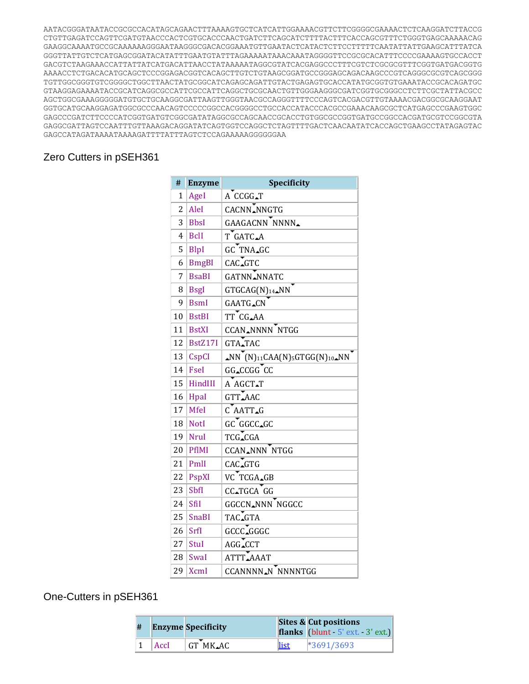AATACGGGATAATACCGCGCCACATAGCAGAACTTTAAAAGTGCTCATCATTGGAAAACGTTCTTCGGGGCGAAAACTCTCAAGGATCTTACCG CTGTTGAGATCCAGTTCGATGTAACCCACTCGTGCACCCAACTGATCTTCAGCATCTTTTACTTTCACCAGCGTTTCTGGGTGAGCAAAAACAG GAAGGCAAAATGCCGCAAAAAAGGGAATAAGGGCGACACGGAAATGTTGAATACTCATACTCTTCCTTTTTCAATATTATTGAAGCATTTATCA GGGTTATTGTCTCATGAGCGGATACATATTTGAATGTATTTAGAAAAATAAACAAATAGGGGTTCCGCGCACATTTCCCCGAAAAGTGCCACCT GACGTCTAAGAAACCATTATTATCATGACATTAACCTATAAAAATAGGCGTATCACGAGGCCCTTTCGTCTCGCGCGTTTCGGTGATGACGGTG AAAACCTCTGACACATGCAGCTCCCGGAGACGGTCACAGCTTGTCTGTAAGCGGATGCCGGGAGCAGACAAGCCCGTCAGGGCGCGTCAGCGGG TGTTGGCGGGTGTCGGGGCTGGCTTAACTATGCGGCATCAGAGCAGATTGTACTGAGAGTGCACCATATGCGGTGTGAAATACCGCACAGATGC GTAAGGAGAAAATACCGCATCAGGCGCCATTCGCCATTCAGGCTGCGCAACTGTTGGGAAGGGCGATCGGTGCGGGCCTCTTCGCTATTACGCC AGCTGGCGAAAGGGGGATGTGCTGCAAGGCGATTAAGTTGGGTAACGCCAGGGTTTTCCCAGTCACGACGTTGTAAAACGACGGCGCAAGGAAT GGTGCATGCAAGGAGATGGCGCCCAACAGTCCCCCGGCCACGGGGCCTGCCACCATACCCACGCCGAAACAAGCGCTCATGAGCCCGAAGTGGC GAGCCCGATCTTCCCCATCGGTGATGTCGGCGATATAGGCGCCAGCAACCGCACCTGTGGCGCCGGTGATGCCGGCCACGATGCGTCCGGCGTA GAGGCGATTAGTCCAATTTGTTAAAGACAGGATATCAGTGGTCCAGGCTCTAGTTTTGACTCAACAATATCACCAGCTGAAGCCTATAGAGTAC GAGCCATAGATAAAATAAAAGATTTTATTTAGTCTCCAGAAAAAGGGGGGAA

# Zero Cutters in pSEH361

| #  | <b>Enzyme</b> | Specificity                                                                                            |  |  |
|----|---------------|--------------------------------------------------------------------------------------------------------|--|--|
| 1  | AgeI          | A CCGG_T                                                                                               |  |  |
| 2  | AleI          | CACNN NNGTG                                                                                            |  |  |
| 3  | <b>BbsI</b>   | GAAGACNN NNNN <sub>-</sub>                                                                             |  |  |
| 4  | <b>BclI</b>   | T GATC.A                                                                                               |  |  |
| 5  | BlpI          | GC TNA_GC                                                                                              |  |  |
| 6  | <b>BmgBI</b>  | CAC_GTC                                                                                                |  |  |
| 7  | <b>BsaBI</b>  | <b>GATNN NNATC</b>                                                                                     |  |  |
| 8  | <b>BsgI</b>   | GTGCAG(N) <sub>14</sub> _NN                                                                            |  |  |
| 9  | <b>BsmI</b>   | <b>GAATG_CN</b>                                                                                        |  |  |
| 10 | <b>BstBI</b>  | TT CG_AA                                                                                               |  |  |
| 11 | <b>BstXI</b>  | <b>CCAN_NNNN NTGG</b>                                                                                  |  |  |
| 12 | BstZ17I       | GTA_TAC                                                                                                |  |  |
| 13 | CspCI         | $\triangle NN$ <sup>T</sup> (N) <sub>11</sub> CAA(N) <sub>5</sub> GTGG(N) <sub>10</sub> $\triangle NN$ |  |  |
| 14 | Fsel          | GG_CCGG CC                                                                                             |  |  |
| 15 | HindIII       | A AGCT.T                                                                                               |  |  |
| 16 | Hpal          | GTT_AAC                                                                                                |  |  |
| 17 | <b>MfeI</b>   | C AATT.G                                                                                               |  |  |
| 18 | <b>NotI</b>   | GC GGCC_GC                                                                                             |  |  |
| 19 | <b>NruI</b>   | TCG_CGA                                                                                                |  |  |
| 20 | PflMI         | CCAN_NNN NTGG                                                                                          |  |  |
| 21 | PmlI          | CAC_GTG                                                                                                |  |  |
| 22 | PspXI         | VC TCGA_GB                                                                                             |  |  |
| 23 | SbfI          | CC_TGCA GG                                                                                             |  |  |
| 24 | SfiI          | GGCCN_NNN NGGCC                                                                                        |  |  |
| 25 | <b>SnaBI</b>  | TAC_GTA                                                                                                |  |  |
| 26 | SrfI          | GCCCLGGGC                                                                                              |  |  |
| 27 | StuI          | AGG_CCT                                                                                                |  |  |
| 28 | SwaI          | ATTTLAAAT                                                                                              |  |  |
| 29 | <b>XcmI</b>   | CCANNNN <sub>AN</sub> NNNNTGG                                                                          |  |  |

# One-Cutters in pSEH361

| # |      | <b>Enzyme Specificity</b> |       | <b>Sites &amp; Cut positions</b><br>flanks (blunt 5' ext. 3' ext.) |
|---|------|---------------------------|-------|--------------------------------------------------------------------|
|   | AccI | GT MK.AC                  | llist | $*3691/3693$                                                       |